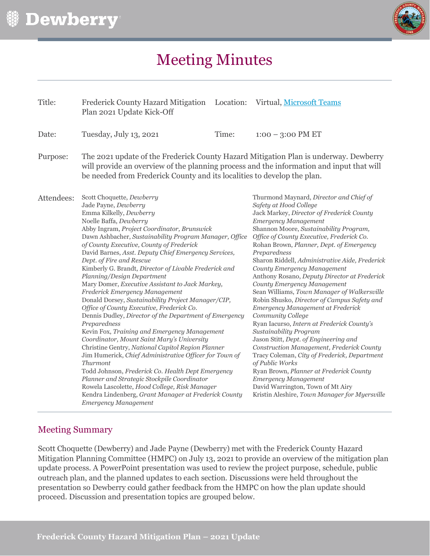

# Meeting Minutes

| Title:     | <b>Frederick County Hazard Mitigation</b><br>Plan 2021 Update Kick-Off                                                                                                                                                                                                                                                                                                                                                                                                                                                                                                                                                                                        | Location:                                                                                                                                                                                                                                                                                                                                                                                                                                                                                                                                                                                                                                                                                                                                                                                                                                                                                                                                                                                                                                                                                                                                                                                                                                                                                                                                                                                                                                                                                                                                        | Virtual, Microsoft Teams |
|------------|---------------------------------------------------------------------------------------------------------------------------------------------------------------------------------------------------------------------------------------------------------------------------------------------------------------------------------------------------------------------------------------------------------------------------------------------------------------------------------------------------------------------------------------------------------------------------------------------------------------------------------------------------------------|--------------------------------------------------------------------------------------------------------------------------------------------------------------------------------------------------------------------------------------------------------------------------------------------------------------------------------------------------------------------------------------------------------------------------------------------------------------------------------------------------------------------------------------------------------------------------------------------------------------------------------------------------------------------------------------------------------------------------------------------------------------------------------------------------------------------------------------------------------------------------------------------------------------------------------------------------------------------------------------------------------------------------------------------------------------------------------------------------------------------------------------------------------------------------------------------------------------------------------------------------------------------------------------------------------------------------------------------------------------------------------------------------------------------------------------------------------------------------------------------------------------------------------------------------|--------------------------|
| Date:      | Tuesday, July 13, 2021                                                                                                                                                                                                                                                                                                                                                                                                                                                                                                                                                                                                                                        | Time:                                                                                                                                                                                                                                                                                                                                                                                                                                                                                                                                                                                                                                                                                                                                                                                                                                                                                                                                                                                                                                                                                                                                                                                                                                                                                                                                                                                                                                                                                                                                            | $1:00 - 3:00$ PM ET      |
| Purpose:   | The 2021 update of the Frederick County Hazard Mitigation Plan is underway. Dewberry<br>will provide an overview of the planning process and the information and input that will<br>be needed from Frederick County and its localities to develop the plan.                                                                                                                                                                                                                                                                                                                                                                                                   |                                                                                                                                                                                                                                                                                                                                                                                                                                                                                                                                                                                                                                                                                                                                                                                                                                                                                                                                                                                                                                                                                                                                                                                                                                                                                                                                                                                                                                                                                                                                                  |                          |
| Attendees: | Scott Choquette, Dewberry<br>Jade Payne, Dewberry<br>Emma Kilkelly, Dewberry<br>Noelle Baffa, Dewberry<br>Abby Ingram, Project Coordinator, Brunswick<br>of County Executive, County of Frederick<br>Dept. of Fire and Rescue<br>Planning/Design Department<br>Mary Domer, Executive Assistant to Jack Markey,<br>Frederick Emergency Management<br>Office of County Executive, Frederick Co.<br>Preparedness<br>Kevin Fox, Training and Emergency Management<br>Coordinator, Mount Saint Mary's University<br><b>Thurmont</b><br>Planner and Strategic Stockpile Coordinator<br>Rowela Lascolette, Hood College, Risk Manager<br><b>Emergency Management</b> | Thurmond Maynard, Director and Chief of<br>Safety at Hood College<br>Jack Markey, Director of Frederick County<br><b>Emergency Management</b><br>Shannon Moore, Sustainability Program,<br>Dawn Ashbacher, Sustainability Program Manager, Office<br>Office of County Executive, Frederick Co.<br>Rohan Brown, Planner, Dept. of Emergency<br>David Barnes, Asst. Deputy Chief Emergency Services,<br>Preparedness<br>Sharon Riddell, Administrative Aide, Frederick<br>Kimberly G. Brandt, Director of Livable Frederick and<br>County Emergency Management<br>Anthony Rosano, Deputy Director at Frederick<br>County Emergency Management<br>Sean Williams, Town Manager of Walkersville<br>Donald Dorsey, Sustainability Project Manager/CIP,<br>Robin Shusko, Director of Campus Safety and<br>Emergency Management at Frederick<br>Dennis Dudley, Director of the Department of Emergency<br>Community College<br>Ryan Iacurso, Intern at Frederick County's<br>Sustainability Program<br>Jason Stitt, Dept. of Engineering and<br>Christine Gentry, National Capitol Region Planner<br>Construction Management, Frederick County<br>Jim Humerick, Chief Administrative Officer for Town of<br>Tracy Coleman, City of Frederick, Department<br>of Public Works<br>Todd Johnson, Frederick Co. Health Dept Emergency<br>Ryan Brown, Planner at Frederick County<br><b>Emergency Management</b><br>David Warrington, Town of Mt Airy<br>Kendra Lindenberg, Grant Manager at Frederick County<br>Kristin Aleshire, Town Manager for Myersville |                          |

# Meeting Summary

Scott Choquette (Dewberry) and Jade Payne (Dewberry) met with the Frederick County Hazard Mitigation Planning Committee (HMPC) on July 13, 2021 to provide an overview of the mitigation plan update process. A PowerPoint presentation was used to review the project purpose, schedule, public outreach plan, and the planned updates to each section. Discussions were held throughout the presentation so Dewberry could gather feedback from the HMPC on how the plan update should proceed. Discussion and presentation topics are grouped below.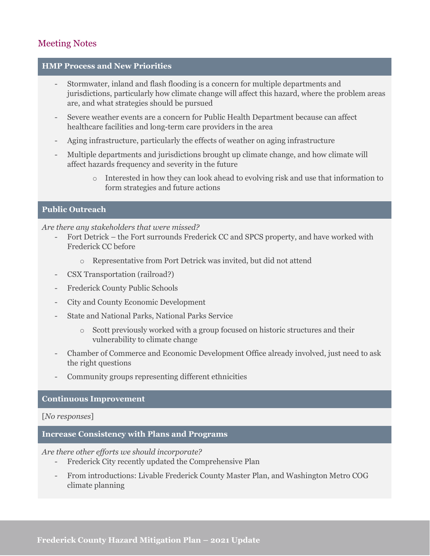# Meeting Notes

## **HMP Process and New Priorities**

- Stormwater, inland and flash flooding is a concern for multiple departments and jurisdictions, particularly how climate change will affect this hazard, where the problem areas are, and what strategies should be pursued
- Severe weather events are a concern for Public Health Department because can affect healthcare facilities and long-term care providers in the area
- Aging infrastructure, particularly the effects of weather on aging infrastructure
- Multiple departments and jurisdictions brought up climate change, and how climate will affect hazards frequency and severity in the future
	- o Interested in how they can look ahead to evolving risk and use that information to form strategies and future actions

## **Public Outreach**

#### *Are there any stakeholders that were missed?*

- Fort Detrick the Fort surrounds Frederick CC and SPCS property, and have worked with Frederick CC before
	- o Representative from Port Detrick was invited, but did not attend
- CSX Transportation (railroad?)
- Frederick County Public Schools
- City and County Economic Development
- State and National Parks, National Parks Service
	- o Scott previously worked with a group focused on historic structures and their vulnerability to climate change
- Chamber of Commerce and Economic Development Office already involved, just need to ask the right questions
- Community groups representing different ethnicities

#### **Continuous Improvement**

[*No responses*]

#### **Increase Consistency with Plans and Programs**

*Are there other efforts we should incorporate?*

- Frederick City recently updated the Comprehensive Plan
- From introductions: Livable Frederick County Master Plan, and Washington Metro COG climate planning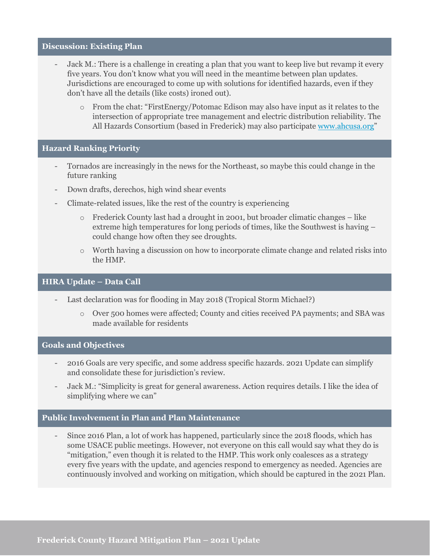#### **Discussion: Existing Plan**

- Jack M.: There is a challenge in creating a plan that you want to keep live but revamp it every five years. You don't know what you will need in the meantime between plan updates. Jurisdictions are encouraged to come up with solutions for identified hazards, even if they don't have all the details (like costs) ironed out).
	- o From the chat: "FirstEnergy/Potomac Edison may also have input as it relates to the intersection of appropriate tree management and electric distribution reliability. The All Hazards Consortium (based in Frederick) may also participate [www.ahcusa.org"](http://www.ahcusa.org/)

#### **Hazard Ranking Priority**

- Tornados are increasingly in the news for the Northeast, so maybe this could change in the future ranking
- Down drafts, derechos, high wind shear events
- Climate-related issues, like the rest of the country is experiencing
	- $\circ$  Frederick County last had a drought in 2001, but broader climatic changes like extreme high temperatures for long periods of times, like the Southwest is having – could change how often they see droughts.
	- o Worth having a discussion on how to incorporate climate change and related risks into the HMP.

# **HIRA Update – Data Call**

- Last declaration was for flooding in May 2018 (Tropical Storm Michael?)
	- o Over 500 homes were affected; County and cities received PA payments; and SBA was made available for residents

#### **Goals and Objectives**

- 2016 Goals are very specific, and some address specific hazards. 2021 Update can simplify and consolidate these for jurisdiction's review.
- Jack M.: "Simplicity is great for general awareness. Action requires details. I like the idea of simplifying where we can"

#### **Public Involvement in Plan and Plan Maintenance**

- Since 2016 Plan, a lot of work has happened, particularly since the 2018 floods, which has some USACE public meetings. However, not everyone on this call would say what they do is "mitigation," even though it is related to the HMP. This work only coalesces as a strategy every five years with the update, and agencies respond to emergency as needed. Agencies are continuously involved and working on mitigation, which should be captured in the 2021 Plan.